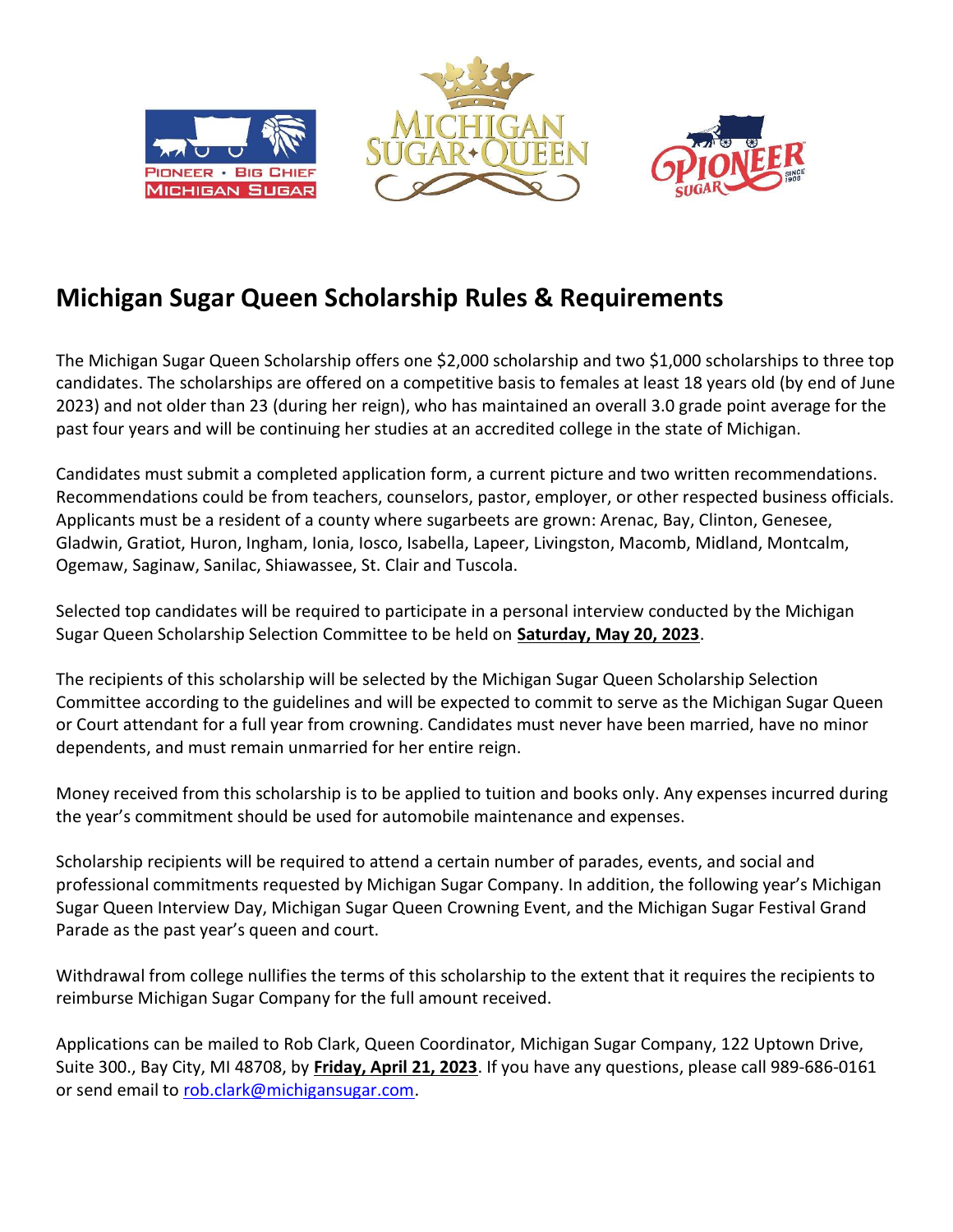

## Michigan Sugar Queen Scholarship Rules & Requirements

The Michigan Sugar Queen Scholarship offers one \$2,000 scholarship and two \$1,000 scholarships to three top candidates. The scholarships are offered on a competitive basis to females at least 18 years old (by end of June 2023) and not older than 23 (during her reign), who has maintained an overall 3.0 grade point average for the past four years and will be continuing her studies at an accredited college in the state of Michigan.

Candidates must submit a completed application form, a current picture and two written recommendations. Recommendations could be from teachers, counselors, pastor, employer, or other respected business officials. Applicants must be a resident of a county where sugarbeets are grown: Arenac, Bay, Clinton, Genesee, Gladwin, Gratiot, Huron, Ingham, Ionia, Iosco, Isabella, Lapeer, Livingston, Macomb, Midland, Montcalm, Ogemaw, Saginaw, Sanilac, Shiawassee, St. Clair and Tuscola.

Selected top candidates will be required to participate in a personal interview conducted by the Michigan Sugar Queen Scholarship Selection Committee to be held on Saturday, May 20, 2023.

The recipients of this scholarship will be selected by the Michigan Sugar Queen Scholarship Selection Committee according to the guidelines and will be expected to commit to serve as the Michigan Sugar Queen or Court attendant for a full year from crowning. Candidates must never have been married, have no minor dependents, and must remain unmarried for her entire reign.

Money received from this scholarship is to be applied to tuition and books only. Any expenses incurred during the year's commitment should be used for automobile maintenance and expenses.

Scholarship recipients will be required to attend a certain number of parades, events, and social and professional commitments requested by Michigan Sugar Company. In addition, the following year's Michigan Sugar Queen Interview Day, Michigan Sugar Queen Crowning Event, and the Michigan Sugar Festival Grand Parade as the past year's queen and court.

Withdrawal from college nullifies the terms of this scholarship to the extent that it requires the recipients to reimburse Michigan Sugar Company for the full amount received.

Applications can be mailed to Rob Clark, Queen Coordinator, Michigan Sugar Company, 122 Uptown Drive, Suite 300., Bay City, MI 48708, by Friday, April 21, 2023. If you have any questions, please call 989-686-0161 or send email to rob.clark@michigansugar.com.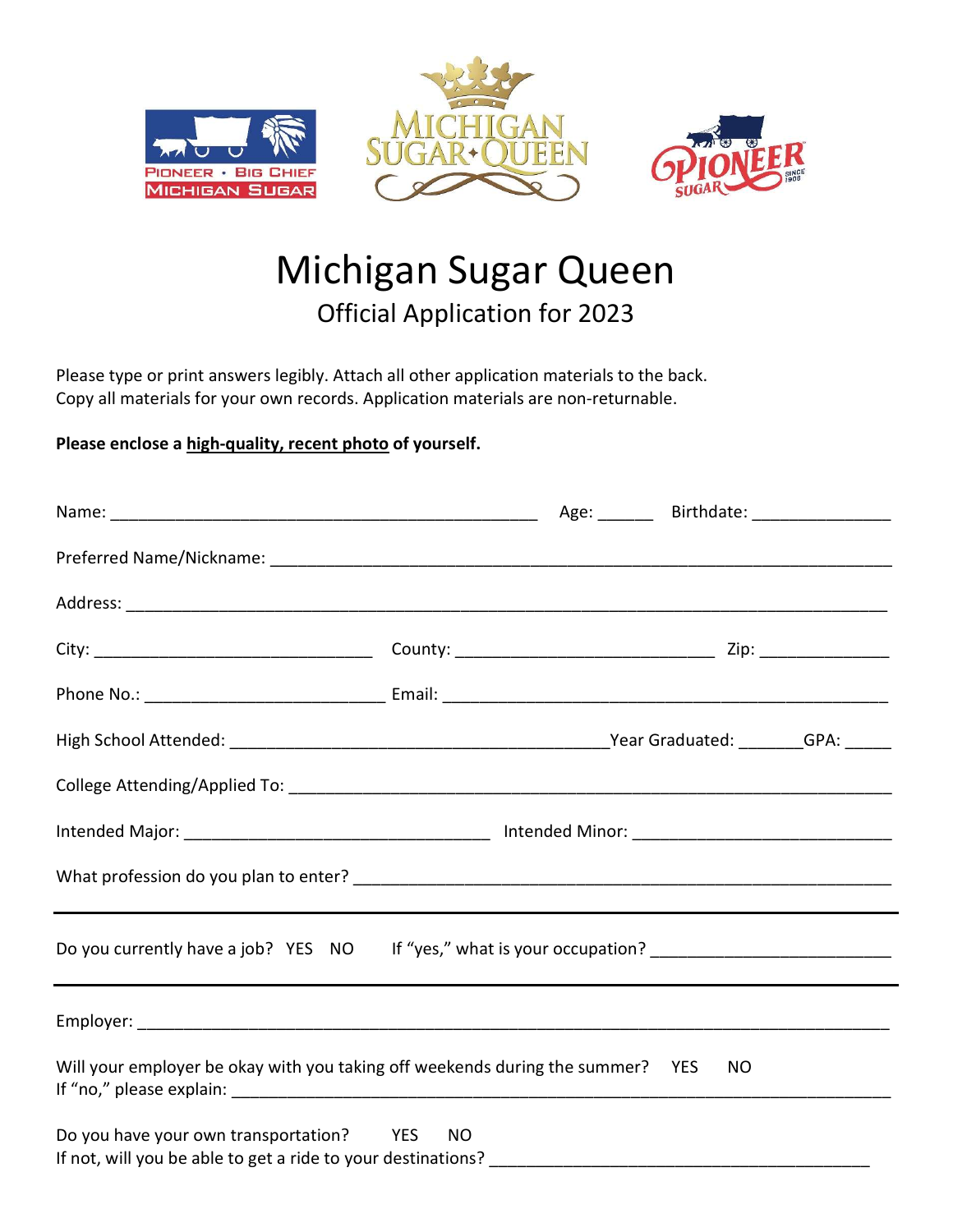





## Michigan Sugar Queen Official Application for 2023

Please type or print answers legibly. Attach all other application materials to the back. Copy all materials for your own records. Application materials are non-returnable.

## Please enclose a high-quality, recent photo of yourself.

|                                                                                                      |  | Age: ________ Birthdate: __________________ |  |
|------------------------------------------------------------------------------------------------------|--|---------------------------------------------|--|
|                                                                                                      |  |                                             |  |
|                                                                                                      |  |                                             |  |
|                                                                                                      |  |                                             |  |
|                                                                                                      |  |                                             |  |
|                                                                                                      |  |                                             |  |
|                                                                                                      |  |                                             |  |
|                                                                                                      |  |                                             |  |
|                                                                                                      |  |                                             |  |
| Do you currently have a job? YES NO If "yes," what is your occupation? _____________________________ |  |                                             |  |
|                                                                                                      |  |                                             |  |
| Will your employer be okay with you taking off weekends during the summer? YES                       |  | NO.                                         |  |
| Do you have your own transportation? YES NO                                                          |  |                                             |  |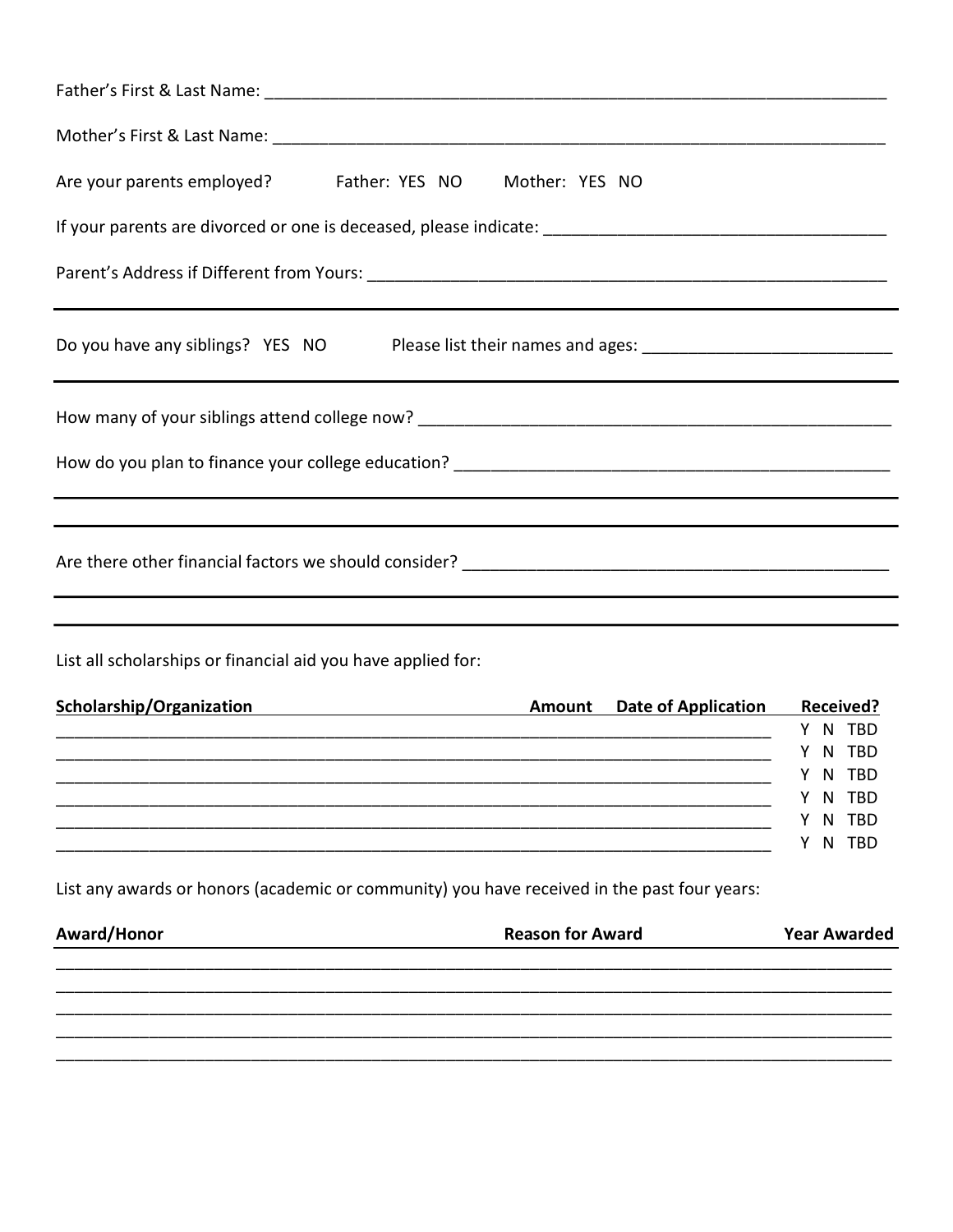| Are your parents employed? Father: YES NO Mother: YES NO                                             |                                       |
|------------------------------------------------------------------------------------------------------|---------------------------------------|
|                                                                                                      |                                       |
|                                                                                                      |                                       |
| Do you have any siblings? YES NO Please list their names and ages: _________________________________ |                                       |
|                                                                                                      |                                       |
|                                                                                                      |                                       |
|                                                                                                      |                                       |
| List all scholarships or financial aid you have applied for:                                         |                                       |
| Scholarship/Organization Material Contract Amount Date of Application Received?                      |                                       |
|                                                                                                      | Y N TBD                               |
|                                                                                                      | Y N TBD<br>$\mathsf{N}$<br><b>TBD</b> |
|                                                                                                      | <b>TBD</b><br>N                       |
|                                                                                                      | N TBD                                 |
|                                                                                                      | N TBD<br>Y                            |
| List any awards or honors (academic or community) you have received in the past four years:          |                                       |
| Award/Honor<br><b>Reason for Award</b>                                                               | <b>Year Awarded</b>                   |
|                                                                                                      |                                       |
|                                                                                                      |                                       |
|                                                                                                      |                                       |
|                                                                                                      |                                       |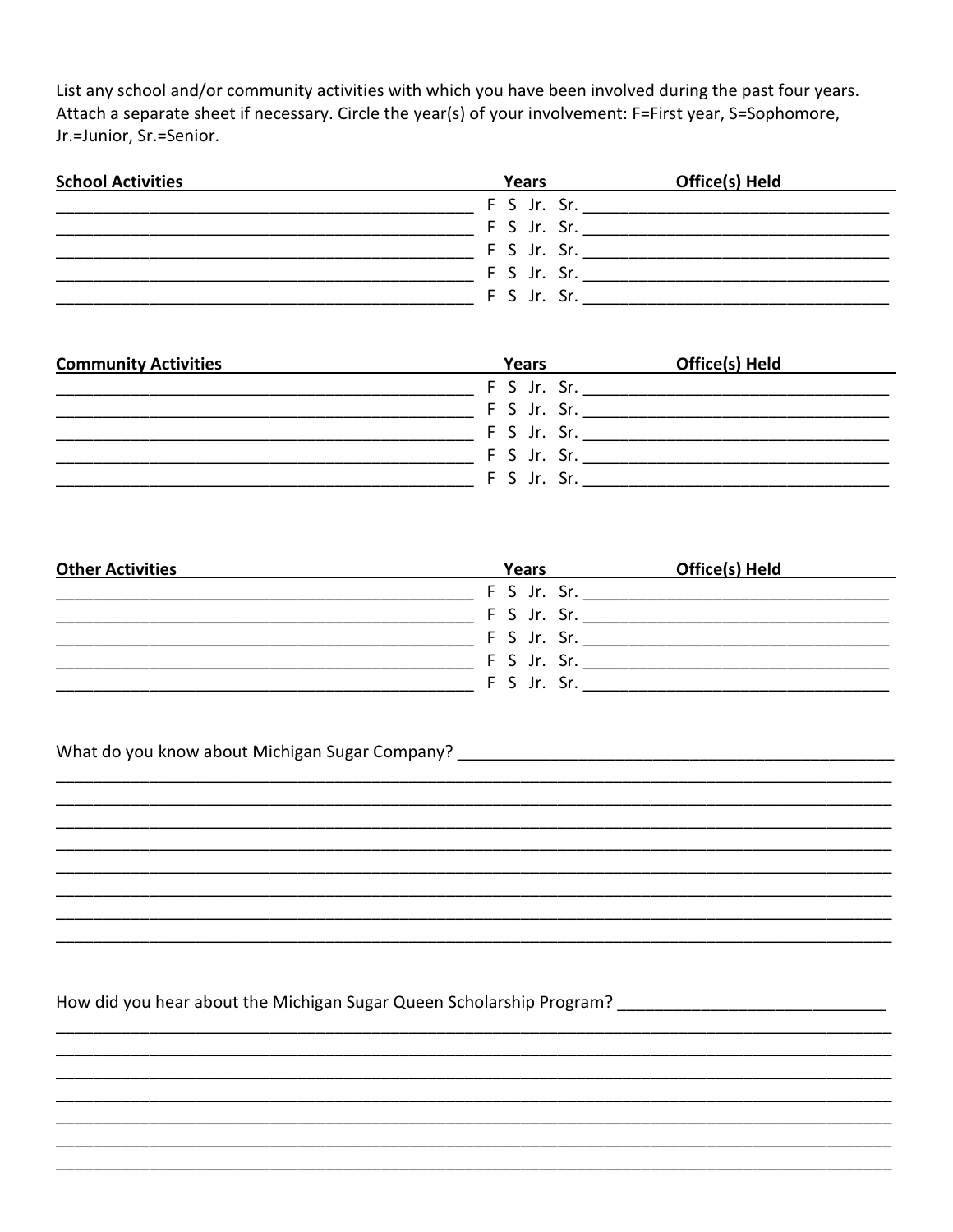List any school and/or community activities with which you have been involved during the past four years. Attach a separate sheet if necessary. Circle the year(s) of your involvement: F=First year, S=Sophomore, Jr.=Junior, Sr.=Senior.

| <b>School Activities</b> | Years       | Office(s) Held |
|--------------------------|-------------|----------------|
|                          | F S Jr. Sr. |                |
|                          | F S Jr. Sr. |                |
|                          | F S Jr. Sr. |                |
|                          | F S Jr. Sr. |                |
|                          | F S Jr. Sr. |                |

| <b>Community Activities</b> | Years       | Office(s) Held |
|-----------------------------|-------------|----------------|
|                             | F S Jr. Sr. |                |
|                             | F S Jr. Sr. |                |
|                             | F S Jr. Sr. |                |
|                             | F S Jr. Sr. |                |
|                             | F S Jr. Sr. |                |

| <b>Other Activities</b> | Years       | Office(s) Held |
|-------------------------|-------------|----------------|
|                         | F S Jr. Sr. |                |
|                         | F S Jr. Sr. |                |
|                         | F S Jr. Sr. |                |
|                         | F S Jr. Sr. |                |
|                         | F S Jr. Sr. |                |